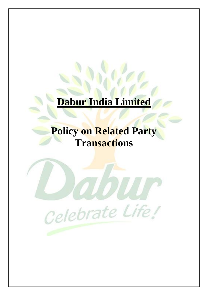# **Dabur India Limited**

## **Policy on Related Party Transactions**

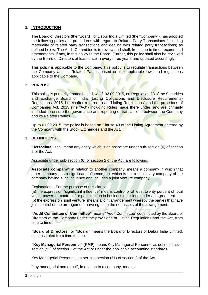#### **1. INTRODUCTION**

The Board of Directors (the "Board") of Dabur India Limited (the "Company"), has adopted the following policy and procedures with regard to Related Party Transactions (including materiality of related party transactions and dealing with related party transactions) as defined below. The Audit Committee is to review and shall, from time to time, recommend amendments, if any, in this policy to the Board. Further, this policy shall also be reviewed by the Board of Directors at least once in every three years and updated accordingly.

This policy is applicable to the Company**.** This policy is to regulate transactions between the Company and its Related Parties based on the applicable laws and regulations applicable to the Company.

#### **2. PURPOSE**

This policy is primarily framed based, w.e.f. 02.09.2015, on Regulation 23 of the Securities and Exchange Board of India (Listing Obligations and Disclosure Requirements) Regulations, 2015, hereinafter referred to as "Listing Regulations" and the provisions of Companies Act, 2013 (the "Act") including Rules made there under, and are primarily intended to ensure the governance and reporting of transactions between the Company and its Related Parties.

Up to 01.09.2015, the policy is based on Clause 49 of the Listing Agreement entered by the Company with the Stock Exchanges and the Act.

#### **3. DEFINITIONS**

**"Associate"** shall mean any entity which is an associate under sub-section (6) of section 2 of the Act.

Associate under sub-section (6) of section 2 of the Act, are following:

Associate company" in relation to another company, means a company in which that other company has a significant influence, but which is not a subsidiary company of the company having such influence and includes a joint venture company.

Explanation – For the purpose of this clause,

(a) the expression "significant influence" means control of at least twenty percent of total voting power, or control of or participation in business decisions under an agreement. (b) the expression "joint venture" means a joint arrangement whereby the parties that have joint control of the arrangement have rights to the net assets of the arrangement;

**"Audit Committee or Committee"** means "Audit Committee" constituted by the Board of Directors of the Company under the provisions of Listing Regulations and the Act, from time to time.

**"Board of Directors"** or **"Board"** means the Board of Directors of Dabur India Limited, as constituted from time to time.

**"Key Managerial Personnel" (KMP)** means Key Managerial Personnel as defined in subsection (51) of section 2 of the Act or under the applicable accounting standards.

Key Managerial Personnel as per sub-section (51) of section 2 of the Act.

"key managerial personnel", in relation to a company, means -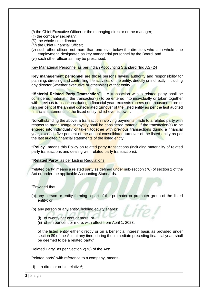(*i*) the Chief Executive Officer or the managing director or the manager;

- (*ii*) the company secretary;
- (*iii*) the whole-time director:
- (*iv*) the Chief Financial Officer;
- (v) such other officer, not more than one level below the directors who is in whole-time employment, designated as key managerial personnel by the Board; and
- (*vi*) such other officer as may be prescribed;

#### Key Managerial Personnel as per Indian Accounting Standard (Ind AS) 24

**Key management personnel** are those persons having authority and responsibility for planning, directing and controlling the activities of the entity, directly or indirectly, including any director (whether executive or otherwise) of that entity**.**

**"Material Related Party Transaction" –** A transaction with a related party shall be considered material if the transaction( $s$ ) to be entered into individually or taken together with previous transactions during a financial year, exceeds rupees one thousand crore or ten per cent of the annual consolidated turnover of the listed entity as per the last audited financial statements of the listed entity, whichever is lower.

Notwithstanding the above, a transaction involving payments made to a related party with respect to brand usage or royalty shall be considered material if the transaction(s) to be entered into individually or taken together with previous transactions during a financial year, exceeds five percent of the annual consolidated turnover of the listed entity as per the last audited financial statements of the listed entity.

**"Policy"** means this Policy on related party transactions (including materiality of related party transactions and dealing with related party transactions).

#### **"Related Party**" as per Listing Regulations:

"related party" means a related party as defined under sub-section (76) of section 2 of the Act or under the applicable Accounting Standards.

#### "Provided that:

- (a) any person or entity forming a part of the promoter or promoter group of the listed entity; or
- (b) any person or any entity, holding equity shares:
	- (i) of twenty per cent or more; or
	- (ii) of ten per cent or more, with effect from April 1, 2023;

of the listed entity either directly or on a beneficial interest basis as provided under section 89 of the Act, at any time, during the immediate preceding financial year; shall be deemed to be a related party:"

Related Party` as per Section 2(76) of the Act:

"related party" with reference to a company, means-

i) a director or his relative<sup>1</sup>;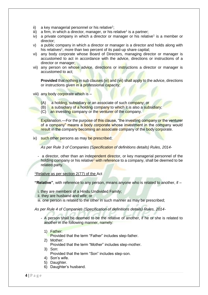- ii) a key managerial personnel or his relative<sup>1</sup>;
- iii) a firm, in which a director, manager, or his relative<sup>1</sup> is a partner;
- iv) a private company in which a director or manager or his relative<sup>1</sup> is a member or director;
- v) a public company in which a director or manager is a director and holds along with his relatives<sup>1</sup>, more than two percent of its paid-up share capital;
- vi) any body corporate whose Board of Directors, managing director or manager is accustomed to act in accordance with the advice, directions or instructions of a director or manager;
- vii) any person on whose advice, directions or instructions a director or manager is accustomed to act;

**Provided** that nothing in sub clauses (vi) and (vii) shall apply to the advice, directions or instructions given in a professional capacity;

- viii) any body corporate which is -
	- (A) a holding, subsidiary or an associate of such company; or
	- $(B)$  a subsidiary of a holding company to which it is also a subsidiary;
	- (C) an investing company or the venturer of the company.

Explanation.—For the purpose of this clause, "the investing company or the venturer of a company" means a body corporate whose investment in the company would result in the company becoming an associate company of the body corporate.

ix) such other persons as may be prescribed;

*As per Rule 3 of Companies (Specification of definitions details) Rules, 2014-*

- a director, other than an independent director, or key managerial personnel of the holding company or his relative<sup>1</sup> with reference to a company, shall be deemed to be related party.

<sup>1</sup>Relative as per section  $2(77)$  of the Act

**"Relative"**, with reference to any person, means anyone who is related to another, if –

- i. they are members of a Hindu Undivided Family;
- ii. they are husband and wife; or

iii. one person is related to the other in such manner as may be prescribed;

*As per Rule 4 of Companies (Specification of definitions details) Rules, 2014-*

- A person shall be deemed to be the relative of another, if he or she is related to another in the following manner, namely:
	- 1) Father:

Provided that the term "Father" includes step-father.

- 2) Mother:
- Provided that the term "Mother" includes step-mother.
- 3) Son:
	- Provided that the term "Son" includes step-son.
- 4) Son's wife.
- 5) Daughter.
- 6) Daughter's husband.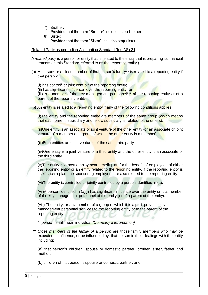- 7) Brother:
	- Provided that the term "Brother" includes step-brother.
- 8) Sister: Provided that the term "Sister" includes step-sister.

#### Related Party as per Indian Accounting Standard (Ind AS) 24

A *related party* is a person or entity that is related to the entity that is preparing its financial statements (in this Standard referred to as the 'reporting entity').

(a) A person<sup>\*</sup> or a close member of that person's family\*\* is related to a reporting entity if that person:

(i) has control<sup>#</sup> or joint control<sup>#</sup> of the reporting entity;

(ii) has significant influence<sup>#</sup> over the reporting entity; or

(iii) is a member of the key management personnel<sup>\*\*\*</sup> of the reporting entity or of a parent of the reporting entity.

(b) An entity is related to a reporting entity if any of the following conditions applies:

(i)The entity and the reporting entity are members of the same group (which means that each parent, subsidiary and fellow subsidiary is related to the others).

(ii)One entity is an associate or joint venture of the other entity (or an associate or joint venture of a member of a group of which the other entity is a member).

(iii)Both entities are joint ventures of the same third party.

(iv)One entity is a joint venture of  $\alpha$  third entity and the other entity is an associate of the third entity.

(v)The entity is a post-employment benefit plan for the benefit of employees of either the reporting entity or an entity related to the reporting entity. If the reporting entity is itself such a plan, the sponsoring employers are also related to the reporting entity.

(vi)The entity is controlled or jointly controlled by a person identified in (a).

(vii)A person identified in (a)(i) has significant influence over the entity or is a member of the key management personnel of the entity (or of a parent of the entity).

(viii) The entity, or any member of a group of which it is a part, provides key management personnel services to the reporting entity or to the parent of the reporting entity.

\* `*person*` shall mean individual *(Company interpretation).*

*\*\* Close members of the family of a person* are those family members who may be expected to influence, or be influenced by, that person in their dealings with the entity including:

(a) that person's children, spouse or domestic partner, brother, sister, father and mother;

(b) children of that person's spouse or domestic partner; and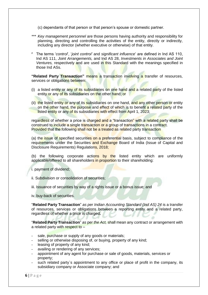(c) dependants of that person or that person's spouse or domestic partner.

- *\*\*\* Key management personnel* are those persons having authority and responsibility for planning, directing and controlling the activities of the entity, directly or indirectly, including any director (whether executive or otherwise) of that entity.
- # The terms '*control*', '*joint control'* and *significant influence*' are defined in Ind AS 110, Ind AS 111, *Joint Arrangements,* and Ind AS 28, *Investments in Associates and Joint Ventures, respectively and are used in this Standard with the meanings specified in* those Ind ASs.

**"Related Party Transaction"** means a transaction involving a transfer of resources, services or obligations between:

- (i) a listed entity or any of its subsidiaries on one hand and a related party of the listed entity or any of its subsidiaries on the other hand; or
- (ii) the listed entity or any of its subsidiaries on one hand, and any other person or entity on the other hand, the purpose and effect of which is to benefit a related party of the listed entity or any of its subsidiaries with effect from April 1, 2023;

regardless of whether a price is charged and a "transaction" with a related party shall be construed to include a single transaction or a group of transactions in a contract. Provided that the following shall not be a treated as related party transaction

(a) the issue of specified securities on a preferential basis, subject to compliance of the requirements under the Securities and Exchange Board of India (Issue of Capital and Disclosure Requirements) Requlations, 2018;

(b) the following corporate actions by the listed entity which are uniformly applicable/offered to all shareholders in proportion to their shareholding:

i. payment of dividend;

- ii. Subdivision or consolidation of securities;
- iii. Issuance of securities by way of a rights issue or a bonus issue; and
- iv. buy-back of securities.

"**Related Party Transaction**" *as per Indian Accounting Standard (Ind AS) 24* is a transfer of resources, services or obligations between a reporting entity and a related party, regardless of whether a price is charged**.**

"**Related Party Transaction**" *as* per *the Act,* shall mean any contract or arrangement with a related party with respect to –

- sale, purchase or supply of any goods or materials;
- selling or otherwise disposing of, or buying, property of any kind;
- leasing of property of any kind:
- availing or rendering of any services:
- appointment of any agent for purchase or sale of goods, materials, services or property;
- such related party's appointment to any office or place of profit in the company, its subsidiary company or Associate company; and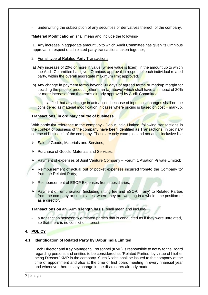- underwriting the subscription of any securities or derivatives thereof, of the company.

"**Material Modifications**" shall mean and include the following-

1. Any increase in aggregate amount up to which Audit Committee has given its Omnibus approval in respect of all related party transactions taken together;

- 2. For all type of Related Party Transactions
- a) Any increase of 20% or more in value (where value is fixed), in the amount up to which the Audit Committee has given Omnibus approval in respect of each individual related party, within the overall aggregate maximum limit approved.
- b) Any change in payment terms beyond 90 days of agreed terms or markup margin for deciding the price of product [other than (a) above] which shall have an impact of 20% or more increase from the terms already approved by Audit Committee.

It is clarified that any change in actual cost because of input cost changes shall not be considered as material modification in cases where pricing is based on cost + markup.

#### **Transactions `in ordinary course of business**`

With particular reference to the company - Dabur India Limited, following transactions in the context of business of the company have been identified as Transactions `in ordinary course of business' of the company. These are only examples and not an all inclusive list:

- **► Sale of Goods, Materials and Services;**
- Purchase of Goods, Materials and Services;
- Payment of expenses of Joint Venture Company Forum 1 Aviation Private Limited;
- Experimient of actual out of pocket expenses incurred from/to the Company to/ from the Related Party;
- ▶ Reimbursement of ESOP Expenses from subsidiaries;
- $\triangleright$  Payment of remuneration (including sitting fee and ESOP, if any) to Related Parties from the company or subsidiaries, where they are working in a whole time position or as a director.

#### **Transactions on an `Arm`s length basis**` shall mean and include-

a transaction between two related parties that is conducted as if they were unrelated. so that there is no conflict of interest.

#### **4. POLICY**

#### **4.1. Identification of Related Party by Dabur India Limited**

Each Director and Key Managerial Personnel (KMP) is responsible to notify to the Board regarding persons and entities to be considered as `Related Parties` by virtue of his/her being Director/ KMP in the company. Such Notice shall be issued to the company at the time of appointment and also at the time of first board meeting in every financial year and whenever there is any change in the disclosures already made.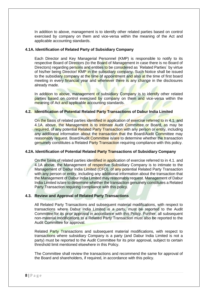In addition to above, management is to identify other related parties based on control exercised by company on them and vice-versa within the meaning of the Act and applicable accounting standards.

#### **4.1A. Identification of Related Party of Subsidiary Company**

Each Director and Key Managerial Personnel (KMP) is responsible to notify to its respective Board of Directors (to the Board of Management in case there is no Board of Directors) regarding persons and entities to be considered as `Related Parties` by virtue of his/her being Director/ KMP in the subsidiary company. Such Notice shall be issued to the subsidiary company at the time of appointment and also at the time of first board meeting in every financial year and whenever there is any change in the disclosures already made.

In addition to above, management of subsidiary Company is to identify other related parties based on control exercised by company on them and vice-versa within the meaning of Act and applicable accounting standards.

#### **4.2. Identification of Potential Related Party Transactions of Dabur India Limited**

On the basis of related parties identified in application of exercise referred to in 4.1. and 4.1A. above, the Management is to intimate Audit Committee or Board, as may be required, of any potential Related Party Transaction with any person or entity, including any additional information about the transaction that the Board/Audit Committee may reasonably request. Board/Audit Committee is/are to determine whether the transaction genuinely constitutes a Related Party Transaction requiring compliance with this policy.

#### **4.2A. Identification of Potential Related Party Transactions of Subsidiary Company**

On the basis of related parties identified in application of exercise referred to in 4.1. and 4.1A above, the Management of respective Subsidiary Company is to intimate to the Management of Dabur India Limited (CFO), of any potential Related Party Transaction with any person or entity, including any additional information about the transaction that the Management of Dabur India Limited may reasonably request. Management of Dabur India Limited is/are to determine whether the transaction genuinely constitutes a Related Party Transaction requiring compliance with this policy.

#### **4.3. Review and Approval of Related Party Transactions**

All Related Party Transactions and subsequent material modifications, with respect to transactions where Dabur India Limited is a party, must be reported to the Audit Committee for its prior approval in accordance with this Policy. Further, all subsequent non-material modifications to a Related Party Transaction must also be reported to the Audit Committee for approval.

Related Party Transactions and subsequent material modifications, with respect to transactions where subsidiary Company is a party (and Dabur India Limited is not a party) must be reported to the Audit Committee for its prior approval, subject to certain threshold limit mentioned elsewhere in this Policy.

The Committee shall review the transactions and recommend the same for approval of the Board and shareholders, if required, in accordance with this policy.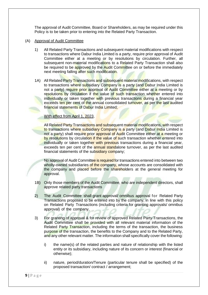The approval of Audit Committee, Board or Shareholders, as may be required under this Policy is to be taken prior to entering into the Related Party Transaction.

#### (A) Approval of Audit Committee

- 1) All Related Party Transactions and subsequent material modifications with respect to transactions where Dabur India Limited is a party, require prior approval of Audit Committee either at a meeting or by resolutions by circulation. Further, all subsequent non-material modifications to a Related Party Transaction shall also be required to be approved by the Audit Committee on or before the immediately next meeting falling after such modification.
- 1A) All Related Party Transactions and subsequent material modifications, with respect to transactions where subsidiary Company is a party (and Dabur India Limited is not a party) require prior approval of Audit Committee either at a meeting or by resolutions by circulation if the value of such transaction whether entered into individually or taken together with previous transactions during a financial year exceeds ten per cent of the annual consolidated turnover, as per the last audited financial statements of Dabur India Limited;

#### With effect from April 1, 2023,

All Related Party Transactions and subsequent material modifications, with respect to transactions where subsidiary Company is a party (and Dabur India Limited is not a party) shall require prior approval of Audit Committee either at a meeting or by resolutions by circulation if the value of such transaction whether entered into individually or taken together with previous transactions during a financial year, exceeds ten per cent of the **annual standalone turnover**, as per the last audited financial statements of the subsidiary company;

No approval of Audit Committee is required for transactions entered into between two wholly-owned subsidiaries of the company, whose accounts are consolidated with the company and placed before the shareholders at the general meeting for approval.

- 1B) Only those members of the Audit Committee, who are independent directors, shall approve related party transactions
- 2) The Audit Committee shall grant approval/ omnibus approval for Related Party Transactions proposed to be entered into by the company, in line with this policy on Related Party Transactions (including criteria for granting approvals/ omnibus approval) of the company.
- 3) For granting of approval & for review of approved Related Party Transactions, the Audit Committee shall be provided with all relevant material information of the Related Party Transaction, including the terms of the transaction, the business purpose of the transaction, the benefits to the Company and to the Related Party, and any other relevant matter. The information shall specifically cover the following:
	- i) the name(s) of the related parties and nature of relationship with the listed entity or its subsidiary, including nature of its concern or interest (financial or otherwise);
	- ii) nature, period/duration/Tenure (particular tenure shall be specified) of the proposed transaction/ contract / arrangement;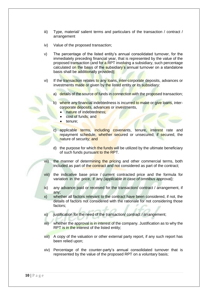- iii) Type, material/ salient terms and particulars of the transaction / contract / arrangement
- iv) Value of the proposed transaction;
- v) The percentage of the listed entity's annual consolidated turnover, for the immediately preceding financial year, that is represented by the value of the proposed transaction (and for a RPT involving a subsidiary, such percentage calculated on the basis of the subsidiary's annual turnover on a standalone basis shall be additionally provided);
- vi) If the transaction relates to any loans, inter-corporate deposits, advances or investments made or given by the listed entity or its subsidiary:
	- a) details of the source of funds in connection with the proposed transaction;
	- b) where any financial indebtedness is incurred to make or give loans, intercorporate deposits, advances or investments,
		- nature of indebtedness;
		- cost of funds; and
		- tenure;
	- c) applicable terms, including covenants, tenure, interest rate and repayment schedule, whether secured or unsecured; if secured, the nature of security; and
	- d) the purpose for which the funds will be utilized by the ultimate beneficiary of such funds pursuant to the RPT.
- vii) the manner of determining the pricing and other commercial terms, both included as part of the contract and not considered as part of the contract;
- viii) the indicative base price / current contracted price and the formula for variation in the price, if any *(applicable in case of omnibus approval);*
- ix) any advance paid or received for the transaction/ contract / arrangement, if any;
- x) whether all factors relevant to the contract have been considered, if not, the details of factors not considered with the rationale for not considering those factors;
- xi) justification for the need of the transaction/ contract / arrangement;
- xii) whether the approval is in interest of the company. Justification as to why the RPT is in the interest of the listed entity;
- xiii) A copy of the valuation or other external party report, if any such report has been relied upon;
- xiv) Percentage of the counter-party's annual consolidated turnover that is represented by the value of the proposed RPT on a voluntary basis;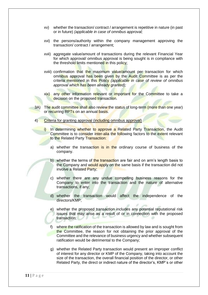- xv) whether the transaction/ contract / arrangement is repetitive in nature (in past or in future) *(applicable in case of omnibus approval;*
- xvi) the persons/authority within the company management approving the transaction/ contract / arrangement;
- xvii) aggregate value/amount of transactions during the relevant Financial Year for which approval/ omnibus approval is being sought is in compliance with the threshold limits mentioned in this policy;
- xviii) confirmation that the maximum value/amount per transaction for which omnibus approval has been given by the Audit Committee is as per the criteria mentioned in this Policy *(applicable in case of review of omnibus approval which has been already granted);*
- xix) any other information relevant or important for the Committee to take a decision on the proposed transaction.
- 3A) The audit committee shall also review the status of long-term (more than one year) or recurring RPTs on an annual basis.
- 4) Criteria for granting approval (including omnibus approval)
	- i) In determining whether to approve a Related Party Transaction, the Audit Committee is to consider inter-alia the following factors to the extent relevant to the Related Party Transaction:
		- a) whether the transaction is in the ordinary course of business of the company.
		- b) whether the terms of the transaction are fair and on arm's length basis to the Company and would apply on the same basis if the transaction did not involve a Related Party;
		- c) whether there are any undue compelling business reasons for the Company to enter into the transaction and the nature of alternative transactions, if any;
		- d) whether the transaction would affect the independence of the directors/KMP;
		- e) whether the proposed transaction includes any potential reputational risk issues that may arise as a result of or in connection with the proposed transaction;
		- f) where the ratification of the transaction is allowed by law and is sought from the Committee, the reason for not obtaining the prior approval of the Committee and the relevance of business urgency and whether subsequent ratification would be detrimental to the Company;
		- g) whether the Related Party transaction would present an improper conflict of interest for any director or KMP of the Company, taking into account the size of the transaction, the overall financial position of the director, or other Related Party, the direct or indirect nature of the director's, KMP`s or other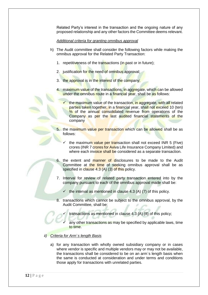Related Party's interest in the transaction and the ongoing nature of any proposed relationship and any other factors the Committee deems relevant.

*Additional criteria for granting omnibus approval*

- h) The Audit committee shall consider the following factors while making the omnibus approval for the Related Party Transaction:
	- 1. repetitiveness of the transactions (in past or in future);
	- 2. justification for the need of omnibus approval:
	- 3. the approval is in the interest of the company;
	- 4. maximum value of the transactions, in aggregate, which can be allowed under the omnibus route in a financial year, shall be as follows:
		- the maximum value of the transaction, in aggregate, with all related parties taken together, in a financial year, shall not exceed 10 (ten) % of the annual consolidated revenue from operations of the Company as per the last audited financial statements of the company
	- 5. the maximum value per transaction which can be allowed shall be as follows:
		- the maximum value per transaction shall not exceed INR 5 (Five) crores (INR 7 crores for Aviva Life Insurance Company Limited) and where each invoice shall be considered as a separate transaction.
	- 6. the extent and manner of disclosures to be made to the Audit Committee at the time of seeking omnibus approval shall be as specified in clause 4.3 (A) (3) of this policy.
	- 7. Interval for review of related party transaction entered into by the company pursuant to each of the omnibus approval made shall be:
		- $\checkmark$  the interval as mentioned in clause 4.3 (A) (7) of this policy.
	- 8. transactions which cannot be subject to the omnibus approval, by the Audit Committee, shall be:
		- transactions as mentioned in clause 4.3 (A) (8) of this policy;
		- any other transactions as may be specified by applicable laws, time to time.
- *ii) Criteria for Arm`s length Basis*
	- a) for any transaction with wholly owned subsidiary company or in cases where vendor is specific and multiple vendors may or may not be available, the transactions shall be considered to be on an arm`s length basis when the same is conducted at consideration and under terms and conditions those apply for transactions with unrelated parties.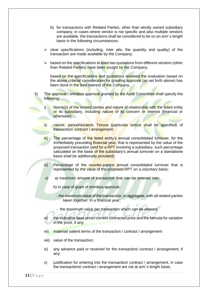- b) for transactions with Related Parties, other than wholly owned subsidiary company, in cases where vendor is not specific and also multiple vendors are available, the transactions shall be considered to be on an arm`s length basis in the following circumstances:
- clear specifications (including, *inter alia*, the quantity and quality) of the transaction are made available by the Company;
- $\triangleright$  based on the specifications at least two quotations from different vendors (other than Related Parties) have been sought by the Company;

based on the specifications and quotations received the evaluation based on the above criteria/ consideration for granting approval (as set forth above) has been done in the best interest of the Company.

- 5) The approval / omnibus approval granted by the Audit Committee shall specify the following:
	- i) Name(s) of the related parties and nature of relationship with the listed entity or its subsidiary, including nature of its concern or interest (financial or otherwise);
	- ii) nature, period/duration Tenure (particular tenure shall be specified) of transaction/ contract / arrangement;
	- iii) The percentage of the listed entity's annual consolidated turnover, for the immediately preceding *financial year*, that is represented by the value of the proposed transaction (and for a RPT involving a subsidiary, such percentage calculated on the basis of the subsidiary's annual turnover on a standalone basis shall be additionally provided);
	- iv) Percentage of the counter-party's annual consolidated turnover that is represented by the value of the proposed RPT on a voluntary basis;
	- v) a) maximum amount of transaction that can be entered into;
		- b) in case of grant of omnibus approval-
			- the maximum value of the transaction, in aggregate, with all related parties taken together, in a financial year;
			- the maximum value per transaction which can be allowed.
	- vi) the indicative base price / current contracted price and the formula for variation in the price, if any;
	- vii) material/ salient terms of the transaction / contract / arrangement
	- viii) value of the transaction;
	- ix) any advance paid or received for the transaction/ contract / arrangement, if any;
	- $x)$  justification for entering into the transaction/ contract / arrangement, in case the transactions/ contract / arrangement are not at arm`s length basis;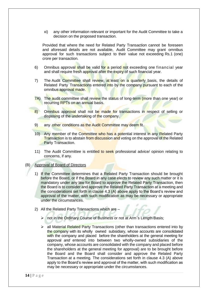xi) any other information relevant or important for the Audit Committee to take a decision on the proposed transaction.

Provided that where the need for Related Party Transaction cannot be foreseen and aforesaid details are not available, Audit Committee may grant omnibus approval for such transactions subject to their value not exceeding Rs.1 (one) crore per transaction.

- 6) Omnibus approval shall be valid for a period not exceeding one financial year and shall require fresh approval after the expiry of such financial year.
- 7) The Audit Committee shall review, at least on a quarterly basis, the details of Related Party Transactions entered into by the company pursuant to each of the omnibus approval made.
- 7A) The audit committee shall review the status of long-term (more than one year) or recurring RPTs on an annual basis.
- 8) Omnibus approval shall not be made for transactions in respect of selling or disposing of the undertaking of the company.
- 9) any other conditions as the Audit Committee may deem fit.
- 10) Any member of the Committee who has a potential interest in any Related Party **Transaction is to abstain from discussion and voting on the approval of the Related** Party Transaction.
- 11) The Audit Committee is entitled to seek professional advice/ opinion relating to concerns, if any.
- (B) Approval of Board of Directors
	- 1) If the Committee determines that a Related Party Transaction should be brought before the Board, or if the Board in any case elects to review any such matter or it is mandatory under any law for Board to approve the Related Party Transaction, then the Board is to consider and approve the Related Party Transaction at a meeting and the considerations set forth in clause 4.3 (A) above apply to the Board's review and approval of the matter, with such modification as may be necessary or appropriate under the circumstances.
	- 2) All the Related Party Transactions which are
		- not in the Ordinary Course of Business or not at Arm`s Length Basis;
		- $\triangleright$  all Material Related Party Transactions (other than transactions entered into by the company with its wholly owned subsidiary, whose accounts are consolidated with the company and placed before the shareholders at the general meeting for approval *and* entered into between two wholly-owned subsidiaries of the company, whose accounts are consolidated with the company and placed before the shareholders at the general meeting for approval) are to be brought before the Board and the Board shall consider and approve the Related Party Transaction at a meeting. The considerations set forth in clause 4.3 (A) above apply to the Board's review and approval of the matter, with such modification as may be necessary or appropriate under the circumstances.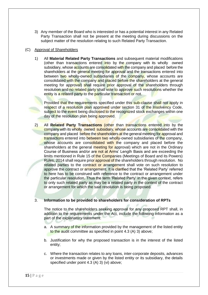3) Any member of the Board who is interested or has a potential interest in any Related Party Transaction shall not be present at the meeting during discussions on the subject matter of the resolution relating to such Related Party Transaction.

#### (C) Approval of Shareholders

1) All **Material Related Party Transactions** and subsequent material modifications (other than transactions entered into by the company with its wholly owned subsidiary, whose accounts are consolidated with the company and placed before the shareholders at the general meeting for approval and the transactions entered into between two wholly-owned subsidiaries of the company, whose accounts are consolidated with the company and placed before the shareholders at the general meeting for approval) shall require prior approval of the shareholders through resolution and no related party shall vote to approve such resolutions whether the entity is a related party to the particular transaction or not.

Provided that the requirements specified under this sub-clause shall not apply in respect of a resolution plan approved under section 31 of the Insolvency Code. subject to the event being disclosed to the recognized stock exchanges within one day of the resolution plan being approved.

2) All **Related Party Transactions** (other than transactions entered into by the company with its wholly owned subsidiary, whose accounts are consolidated with the company and placed before the shareholders at the general meeting for approval and transactions entered into between two wholly-owned subsidiaries of the company, whose accounts are consolidated with the company and placed before the shareholders at the general meeting for approval) which are not in the Ordinary Course of Business and/or are not at Arms' Length Basis and are exceeding the limits mentioned in Rule 15 of the Companies (Meetings of Board and its Powers) Rules, 2014 shall require prior approval of the shareholders through resolution. No related parties to the contract or arrangement shall vote on such resolution to approve the contract or arrangement. It is clarified that the 'Related Party' referred to here has to be construed with reference to the contract or arrangement under the particular resolution. Thus the term 'Related Party' in the given context, refers to only such related party as may be a related party in the context of the contract or arrangement for which the said resolution is being proposed.

#### 3. **Information to be provided to shareholders for consideration of RPTs**

The notice to the shareholders seeking approval for any proposed RPT shall, in addition to the requirements under the Act, include the following information as a part of the explanatory statement:

- a. A summary of the information provided by the management of the listed entity to the audit committee as specified in point 4.3 (A) 3) above;
- b. Justification for why the proposed transaction is in the interest of the listed entity;
- c. Where the transaction relates to any loans, inter-corporate deposits, advances or investments made or given by the listed entity or its subsidiary, the details specified under point 4.3 (A) 3) (vi) above;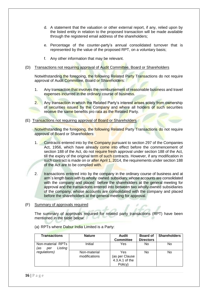- d. A statement that the valuation or other external report, if any, relied upon by the listed entity in relation to the proposed transaction will be made available through the registered email address of the shareholders;
- e. Percentage of the counter-party's annual consolidated turnover that is represented by the value of the proposed RPT, on a voluntary basis;
- f. Any other information that may be relevant.

#### (D) Transactions not requiring approval of Audit Committee, Board or Shareholders

Notwithstanding the foregoing, the following Related Party Transactions do not require approval of Audit Committee, Board or Shareholders:

- 1. Any transaction that involves the reimbursement of reasonable business and travel expenses incurred in the ordinary course of business.
- 2. Any transaction in which the Related Party's interest arises solely from ownership of securities issued by the Company and where all holders of such securities receive the same benefits pro rata as the Related Party.

#### (E) Transactions not requiring approval of Board or Shareholders

Notwithstanding the foregoing, the following Related Party Transactions do not require approval of Board or Shareholders:

- 1. Contracts entered into by the Company pursuant to section 297 of the Companies Act, 1956, which have already come into effect before the commencement of section 188 of the Act, do not require fresh approval under section 188 of the Act, till the expiry of the original term of such contracts. However, if any modification in such contract is made on or after April 1, 2014, the requirements under section 188 of the Act are to be complied with.
- 2. transactions entered into by the company in the ordinary course of business and at arm`s length basis with its wholly owned subsidiary, whose accounts are consolidated with the company and placed before the shareholders at the general meeting for approval and the transactions entered into between two wholly-owned subsidiaries of the company, whose accounts are consolidated with the company and placed before the shareholders at the general meeting for approval.

#### (F) Summary of approvals required

The summary of approvals required for related party transactions (RPT) have been mentioned in the table below:

| <b>Transactions</b>                        | <b>Nature</b>                 | Audit                                              | <b>Board of</b>  | <b>Shareholders</b> |
|--------------------------------------------|-------------------------------|----------------------------------------------------|------------------|---------------------|
|                                            |                               | <b>Committee</b>                                   | <b>Directors</b> |                     |
| Non-material RPTs<br>Listing<br>(as<br>per | Initial                       | Yes                                                | No               | No                  |
| regulations)                               | Non-material<br>modifications | Yes<br>(as per Clause<br>4.3.A.1 of the<br>Policy) | No               | No                  |

(a) RPTs where Dabur India Limited is a Party: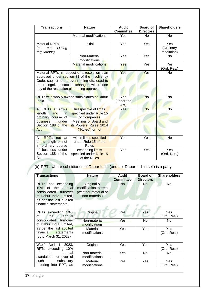| <b>Transactions</b>                                                                                                                                                                                                                      | <b>Nature</b>                                                                                                                              | <b>Audit</b><br><b>Committee</b> | <b>Board of</b><br><b>Directors</b> | <b>Shareholders</b>             |
|------------------------------------------------------------------------------------------------------------------------------------------------------------------------------------------------------------------------------------------|--------------------------------------------------------------------------------------------------------------------------------------------|----------------------------------|-------------------------------------|---------------------------------|
|                                                                                                                                                                                                                                          | Material modifications                                                                                                                     | Yes                              | <b>No</b>                           | <b>No</b>                       |
| <b>Material RPTs</b><br>(as<br>Listing<br>per<br>regulations)                                                                                                                                                                            | Initial                                                                                                                                    | Yes                              | Yes                                 | Yes<br>(Ordinary<br>resolution) |
|                                                                                                                                                                                                                                          | Non-Material<br>modifications                                                                                                              | Yes                              | Yes                                 | <b>No</b>                       |
|                                                                                                                                                                                                                                          | <b>Material modifications</b>                                                                                                              | Yes                              | Yes                                 | Yes<br>(Ord. Res.)              |
| Material RPTs in respect of a resolution plan<br>approved under section 31 of the Insolvency<br>Code, subject to the event being disclosed to<br>the recognized stock exchanges within one<br>day of the resolution plan being approved. |                                                                                                                                            | Yes                              | Yes                                 | <b>No</b>                       |
| India                                                                                                                                                                                                                                    | RPTs with wholly owned subsidiaries of Dabur                                                                                               | Yes<br>(under the<br>Act)        | <b>No</b>                           | <b>No</b>                       |
| All RPTs at arm's<br>length<br>and<br>in<br>ordinary course of<br><b>business</b><br>under<br>Section 188 of the<br>Act                                                                                                                  | Irrespective of limits<br>specified under Rule 15<br>of Companies<br>(Meetings of Board and<br>its Powers) Rules, 2014<br>("Rules") or not | Yes                              | <b>No</b>                           | <b>No</b>                       |
| <b>RPT<sub>s</sub></b><br>All<br>not<br>at<br>arm's length or not<br>in ordinary course                                                                                                                                                  | within limits specified<br>under Rule 15 of the<br>Rules                                                                                   | Yes                              | Yes                                 | <b>No</b>                       |
| of business under<br>Section 188 of the<br>Act.                                                                                                                                                                                          | exceeding limits<br>specified under Rule 15<br>of the Rules                                                                                | Yes                              | Yes                                 | Yes<br>(Ord. Res.)              |

### (b) RPTs where subsidiaries of Dabur India (and not Dabur India itself) is a party:

| <b>Transactions</b>                                                                                                                                      | <b>Nature</b>                                                               | Audit            | <b>Board of</b>  | <b>Shareholders</b>       |
|----------------------------------------------------------------------------------------------------------------------------------------------------------|-----------------------------------------------------------------------------|------------------|------------------|---------------------------|
|                                                                                                                                                          |                                                                             | <b>Committee</b> | <b>Directors</b> |                           |
| RPTs not exceeding<br>of the<br>annual<br>10%<br>consolidated<br>turnover<br>of Dabur India Limited,<br>as per the last audited<br>financial statements. | Original &<br>modification thereto<br>(whether material or<br>non-material) | No               | No.              | No                        |
| RPTs exceeding 10%                                                                                                                                       | Original                                                                    | Yes              | Yes              | Yes                       |
| of<br>the<br>annual                                                                                                                                      |                                                                             |                  |                  | (Ord. Res.)               |
| consolidated turnover                                                                                                                                    | Non-material                                                                | Yes              | No               | No                        |
| of Dabur India Limited,                                                                                                                                  | modifications                                                               |                  |                  |                           |
| as per the last audited<br>financial<br>statements<br>(upto March 31, 2023).                                                                             | Material<br>modifications                                                   | Yes              | Yes              | <b>Yes</b><br>(Ord. Res.) |
| April 1, 2023,<br>W.e.f.<br>RPTs exceeding 10%                                                                                                           | Original                                                                    | Yes              | Yes              | Yes<br>(Ord. Res.)        |
| of<br>the<br>annual<br>standalone turnover of                                                                                                            | Non-material<br>modifications                                               | Yes              | No               | No                        |
| subsidiary<br>such                                                                                                                                       | Material                                                                    | Yes              | Yes              | Yes                       |
| entering into RPT, as                                                                                                                                    | modifications                                                               |                  |                  | (Ord. Res.)               |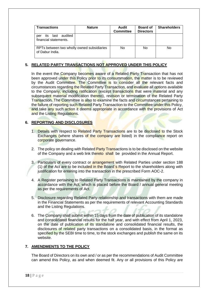| <b>Transactions</b>                                           | <b>Nature</b> | Audit<br><b>Committee</b> | <b>Board of</b><br><b>Directors</b> | <b>Shareholders</b> |
|---------------------------------------------------------------|---------------|---------------------------|-------------------------------------|---------------------|
| last audited<br>its<br>per<br>financial statements.           |               |                           |                                     |                     |
| RPTs between two wholly owned subsidiaries<br>of Dabur India. |               | No                        | No                                  | No                  |

#### **5. RELATED PARTY TRANSACTIONS NOT APPROVED UNDER THIS POLICY**

In the event the Company becomes aware of a Related Party Transaction that has not been approved under this Policy prior to its consummation, the matter is to be reviewed by the Audit Committee. The Committee is to consider all the relevant facts and circumstances regarding the Related Party Transaction, and evaluate all options available to the Company, including ratification (except transactions that were material and any subsequent material modification thereto), revision or termination of the Related Party Transaction. The Committee is also to examine the facts and circumstances pertaining to the failure of reporting such Related Party Transaction to the Committee under this Policy, and take any such action it deems appropriate in accordance with the provisions of Act and the Listing Regulations.

#### **6. REPORTING AND DISCLOSURES**

- 1. Details with respect to Related Party Transactions are to be disclosed to the Stock Exchanges (where shares of the company are listed) in the compliance report on corporate governance.
- 2. The policy on dealing with Related Party Transactions is to be disclosed on the website of the Company and a web link thereto shall be provided in the Annual Report.
- 3. Particulars of every contract or **arrangement** with Related Parties under section 188 (1) of the Act are to be included in the Board's Report to the shareholders along with justification for entering into the transaction in the prescribed Form AOC-2.
- 4. A Register pertaining to Related Party Transactions is maintained by the company in accordance with the Act, which is placed before the Board / annual general meeting as per the requirements of Act.
- 5. Disclosure regarding Related Party relationship and transactions with them are made in the Financial Statements as per the requirements of relevant Accounting Standards and the Listing Regulations.
- 6. The Company shall submit within 15 days from the date of publication of its standalone and consolidated financial results for the half year, and with effect from April 1, 2023, on the date of publication of its standalone and consolidated financial results, the disclosures of related party transactions on a consolidated basis, in the format as specified by the SEBI time to time, to the stock exchanges and publish the same on its website.

#### **7. AMENDMENTS TO THE POLICY**

The Board of Directors on its own and / or as per the recommendations of Audit Committee can amend this Policy, as and when deemed fit. Any or all provisions of this Policy are